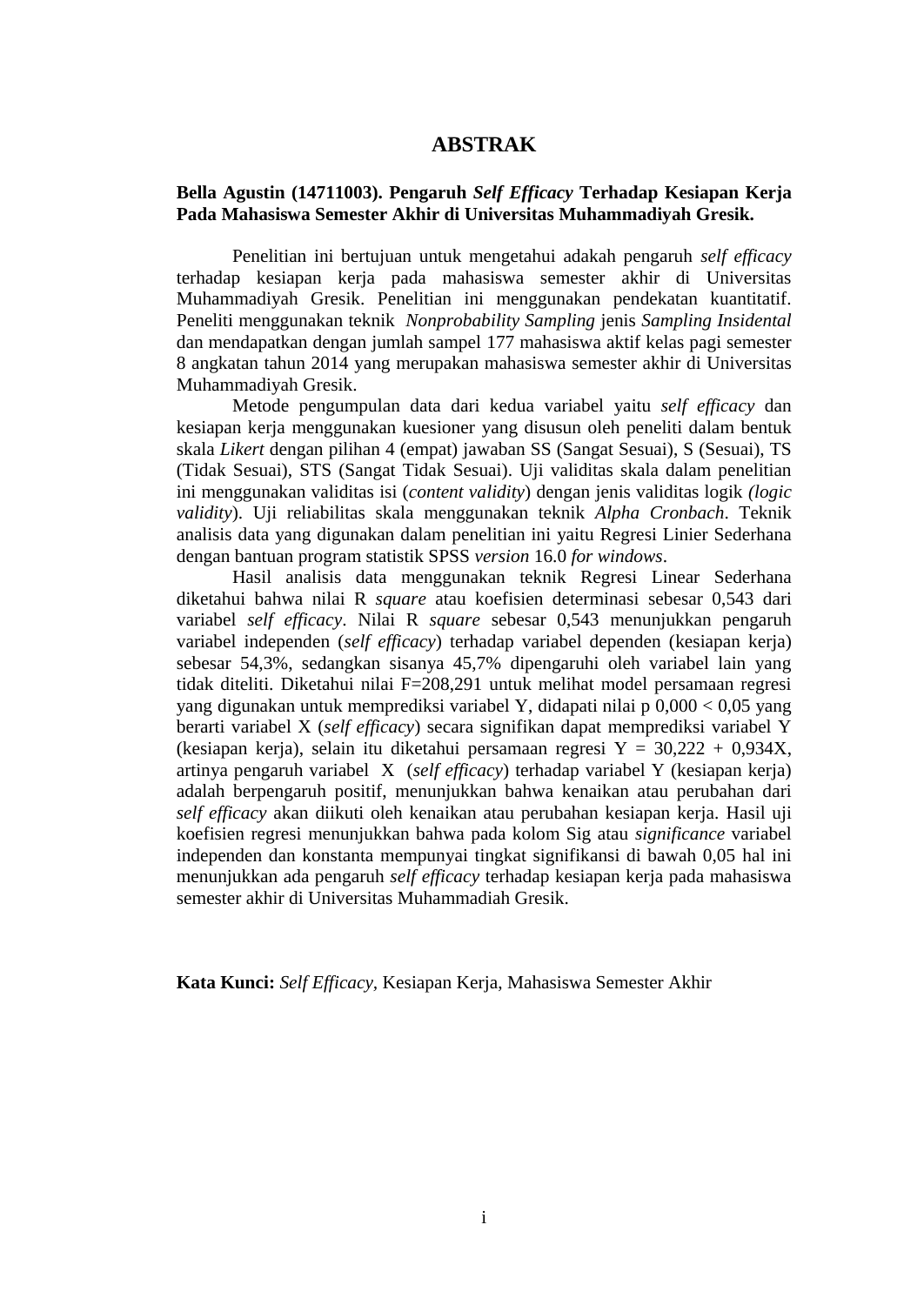## **ABSTRAK**

## **Bella Agustin (14711003). Pengaruh** *Self Efficacy* **Terhadap Kesiapan Kerja Pada Mahasiswa Semester Akhir di Universitas Muhammadiyah Gresik.**

Penelitian ini bertujuan untuk mengetahui adakah pengaruh *self efficacy* terhadap kesiapan kerja pada mahasiswa semester akhir di Universitas Muhammadiyah Gresik. Penelitian ini menggunakan pendekatan kuantitatif. Peneliti menggunakan teknik *Nonprobability Sampling* jenis *Sampling Insidental* dan mendapatkan dengan jumlah sampel 177 mahasiswa aktif kelas pagi semester 8 angkatan tahun 2014 yang merupakan mahasiswa semester akhir di Universitas Muhammadiyah Gresik.

Metode pengumpulan data dari kedua variabel yaitu *self efficacy* dan kesiapan kerja menggunakan kuesioner yang disusun oleh peneliti dalam bentuk skala *Likert* dengan pilihan 4 (empat) jawaban SS (Sangat Sesuai), S (Sesuai), TS (Tidak Sesuai), STS (Sangat Tidak Sesuai). Uji validitas skala dalam penelitian ini menggunakan validitas isi (*content validity*) dengan jenis validitas logik *(logic validity*). Uji reliabilitas skala menggunakan teknik *Alpha Cronbach*. Teknik analisis data yang digunakan dalam penelitian ini yaitu Regresi Linier Sederhana dengan bantuan program statistik SPSS *version* 16.0 *for windows*.

Hasil analisis data menggunakan teknik Regresi Linear Sederhana diketahui bahwa nilai R *square* atau koefisien determinasi sebesar 0,543 dari variabel *self efficacy*. Nilai R *square* sebesar 0,543 menunjukkan pengaruh variabel independen (*self efficacy*) terhadap variabel dependen (kesiapan kerja) sebesar 54,3%, sedangkan sisanya 45,7% dipengaruhi oleh variabel lain yang tidak diteliti. Diketahui nilai F=208,291 untuk melihat model persamaan regresi yang digunakan untuk memprediksi variabel Y, didapati nilai p 0,000 < 0,05 yang berarti variabel X (*self efficacy*) secara signifikan dapat memprediksi variabel Y (kesiapan kerja), selain itu diketahui persamaan regresi Y = 30,222 + 0,934X, artinya pengaruh variabel X (*self efficacy*) terhadap variabel Y (kesiapan kerja) adalah berpengaruh positif, menunjukkan bahwa kenaikan atau perubahan dari *self efficacy* akan diikuti oleh kenaikan atau perubahan kesiapan kerja. Hasil uji koefisien regresi menunjukkan bahwa pada kolom Sig atau *significance* variabel independen dan konstanta mempunyai tingkat signifikansi di bawah 0,05 hal ini menunjukkan ada pengaruh *self efficacy* terhadap kesiapan kerja pada mahasiswa semester akhir di Universitas Muhammadiah Gresik.

**Kata Kunci:** *Self Efficacy,* Kesiapan Kerja, Mahasiswa Semester Akhir